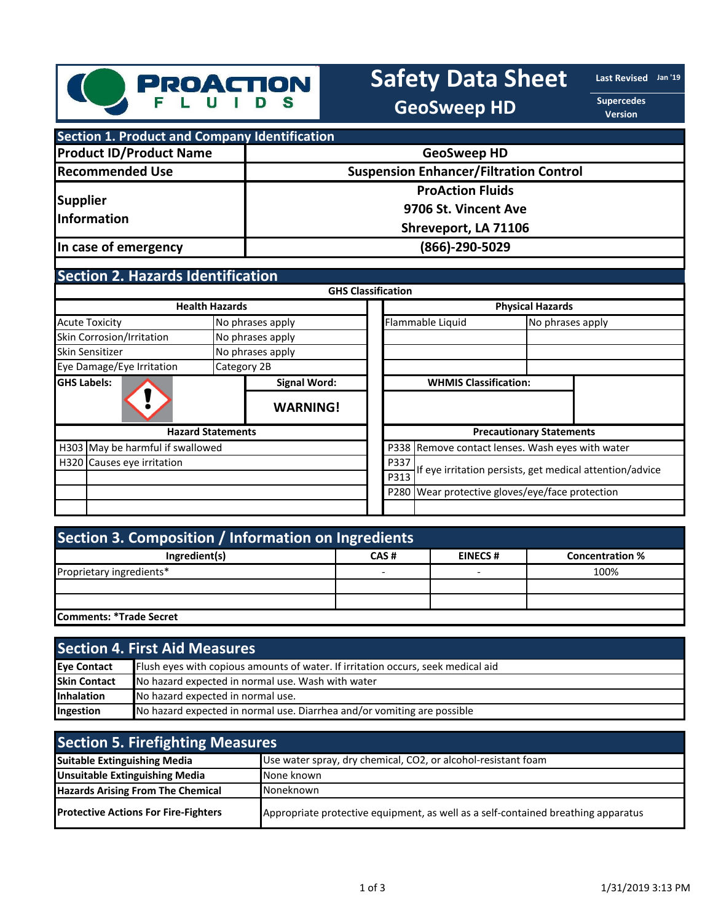

# Safety Data Sheet **Last Revised** Jan<sup>119</sup>

**GeoSweep HD**

**Supercedes Version**

| <b>Section 1. Product and Company Identification</b> |                                               |
|------------------------------------------------------|-----------------------------------------------|
| <b>Product ID/Product Name</b>                       | <b>GeoSweep HD</b>                            |
| <b>Recommended Use</b>                               | <b>Suspension Enhancer/Filtration Control</b> |
| <b>Supplier</b><br>Information                       | <b>ProAction Fluids</b>                       |
|                                                      | 9706 St. Vincent Ave                          |
|                                                      | Shreveport, LA 71106                          |
| In case of emergency                                 | (866)-290-5029                                |

## **Section 2. Hazards Identification**

|                                  |                          |                  | <b>GHS Classification</b>                        |                                                          |                                 |  |
|----------------------------------|--------------------------|------------------|--------------------------------------------------|----------------------------------------------------------|---------------------------------|--|
|                                  | <b>Health Hazards</b>    |                  |                                                  |                                                          | <b>Physical Hazards</b>         |  |
| <b>Acute Toxicity</b>            |                          | No phrases apply |                                                  | Flammable Liquid                                         | No phrases apply                |  |
| Skin Corrosion/Irritation        |                          | No phrases apply |                                                  |                                                          |                                 |  |
| Skin Sensitizer                  |                          | No phrases apply |                                                  |                                                          |                                 |  |
| Eye Damage/Eye Irritation        | Category 2B              |                  |                                                  |                                                          |                                 |  |
| <b>GHS Labels:</b>               |                          | Signal Word:     |                                                  | <b>WHMIS Classification:</b>                             |                                 |  |
|                                  |                          | <b>WARNING!</b>  |                                                  |                                                          |                                 |  |
|                                  | <b>Hazard Statements</b> |                  |                                                  |                                                          | <b>Precautionary Statements</b> |  |
| H303 May be harmful if swallowed |                          |                  | P338 Remove contact lenses. Wash eyes with water |                                                          |                                 |  |
| H320 Causes eye irritation       |                          |                  | P337                                             | If eye irritation persists, get medical attention/advice |                                 |  |
|                                  | P313                     |                  |                                                  |                                                          |                                 |  |
|                                  |                          |                  |                                                  | P280 Wear protective gloves/eye/face protection          |                                 |  |
|                                  |                          |                  |                                                  |                                                          |                                 |  |

| Section 3. Composition / Information on Ingredients |      |                |                        |
|-----------------------------------------------------|------|----------------|------------------------|
| Ingredient(s)                                       | CAS# | <b>EINECS#</b> | <b>Concentration %</b> |
| Proprietary ingredients*                            |      |                | 100%                   |
|                                                     |      |                |                        |
|                                                     |      |                |                        |
| <b>Comments: *Trade Secret</b>                      |      |                |                        |

|                     | <b>Section 4. First Aid Measures,</b>                                            |  |  |
|---------------------|----------------------------------------------------------------------------------|--|--|
| Eve Contact         | Flush eyes with copious amounts of water. If irritation occurs, seek medical aid |  |  |
| <b>Skin Contact</b> | No hazard expected in normal use. Wash with water                                |  |  |
| <b>Inhalation</b>   | No hazard expected in normal use.                                                |  |  |
| Ingestion           | No hazard expected in normal use. Diarrhea and/or vomiting are possible          |  |  |

| <b>Section 5. Firefighting Measures</b>     |                                                                                   |  |
|---------------------------------------------|-----------------------------------------------------------------------------------|--|
| <b>Suitable Extinguishing Media</b>         | Use water spray, dry chemical, CO2, or alcohol-resistant foam                     |  |
| <b>Unsuitable Extinguishing Media</b>       | None known                                                                        |  |
| <b>Hazards Arising From The Chemical</b>    | Noneknown                                                                         |  |
| <b>Protective Actions For Fire-Fighters</b> | Appropriate protective equipment, as well as a self-contained breathing apparatus |  |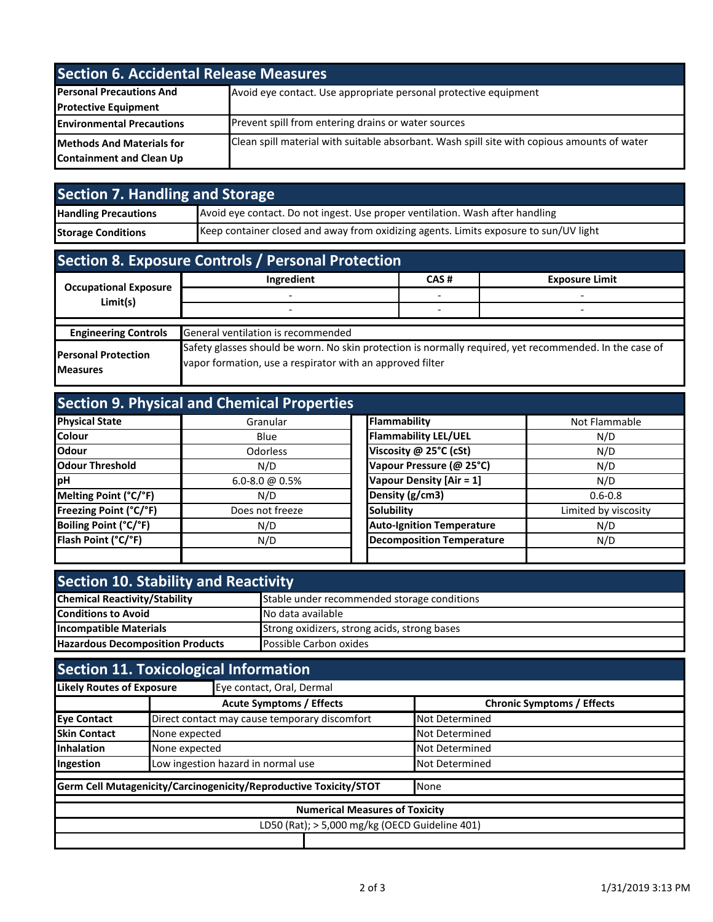| <b>Section 6. Accidental Release Measures</b> |                                                                                             |  |
|-----------------------------------------------|---------------------------------------------------------------------------------------------|--|
| <b>Personal Precautions And</b>               | Avoid eye contact. Use appropriate personal protective equipment                            |  |
| <b>Protective Equipment</b>                   |                                                                                             |  |
| <b>Environmental Precautions</b>              | Prevent spill from entering drains or water sources                                         |  |
| <b>Methods And Materials for</b>              | Clean spill material with suitable absorbant. Wash spill site with copious amounts of water |  |
| <b>Containment and Clean Up</b>               |                                                                                             |  |

| Section 7. Handling and Storage |                                                                                       |  |
|---------------------------------|---------------------------------------------------------------------------------------|--|
| <b>Handling Precautions</b>     | Avoid eye contact. Do not ingest. Use proper ventilation. Wash after handling         |  |
| <b>Storage Conditions</b>       | Keep container closed and away from oxidizing agents. Limits exposure to sun/UV light |  |

| Section 8. Exposure Controls / Personal Protection |                                                                                                                                                                      |      |                       |  |
|----------------------------------------------------|----------------------------------------------------------------------------------------------------------------------------------------------------------------------|------|-----------------------|--|
| <b>Occupational Exposure</b>                       | Ingredient                                                                                                                                                           | CAS# | <b>Exposure Limit</b> |  |
| Limit(s)                                           |                                                                                                                                                                      |      |                       |  |
|                                                    |                                                                                                                                                                      |      |                       |  |
|                                                    |                                                                                                                                                                      |      |                       |  |
| <b>Engineering Controls</b>                        | General ventilation is recommended                                                                                                                                   |      |                       |  |
| <b>Personal Protection</b><br><b>Measures</b>      | Safety glasses should be worn. No skin protection is normally required, yet recommended. In the case of<br>vapor formation, use a respirator with an approved filter |      |                       |  |

|                        | <b>Section 9. Physical and Chemical Properties</b> |                                  |                      |
|------------------------|----------------------------------------------------|----------------------------------|----------------------|
| <b>Physical State</b>  | Granular                                           | Flammability                     | Not Flammable        |
| <b>Colour</b>          | Blue                                               | <b>Flammability LEL/UEL</b>      | N/D                  |
| <b>Odour</b>           | Odorless                                           | Viscosity @ 25°C (cSt)           | N/D                  |
| <b>Odour Threshold</b> | N/D                                                | Vapour Pressure (@ 25°C)         | N/D                  |
| <b>I</b> pH            | $6.0 - 8.0 \omega 0.5\%$                           | Vapour Density [Air = 1]         | N/D                  |
| Melting Point (°C/°F)  | N/D                                                | Density (g/cm3)                  | $0.6 - 0.8$          |
| Freezing Point (°C/°F) | Does not freeze                                    | <b>Solubility</b>                | Limited by viscosity |
| Boiling Point (°C/°F)  | N/D                                                | <b>Auto-Ignition Temperature</b> | N/D                  |
| Flash Point (°C/°F)    | N/D                                                | <b>Decomposition Temperature</b> | N/D                  |
|                        |                                                    |                                  |                      |

| <b>Section 10. Stability and Reactivity</b> |                                              |  |
|---------------------------------------------|----------------------------------------------|--|
| <b>Chemical Reactivity/Stability</b>        | Stable under recommended storage conditions  |  |
| <b>Conditions to Avoid</b>                  | No data available                            |  |
| <b>Incompatible Materials</b>               | Strong oxidizers, strong acids, strong bases |  |
| <b>Hazardous Decomposition Products</b>     | Possible Carbon oxides                       |  |
|                                             |                                              |  |

|                     | <b>Section 11. Toxicological Information</b>                      |                                   |  |  |  |
|---------------------|-------------------------------------------------------------------|-----------------------------------|--|--|--|
|                     | <b>Likely Routes of Exposure</b><br>Eye contact, Oral, Dermal     |                                   |  |  |  |
|                     | <b>Acute Symptoms / Effects</b>                                   | <b>Chronic Symptoms / Effects</b> |  |  |  |
| <b>Eye Contact</b>  | Direct contact may cause temporary discomfort                     | <b>Not Determined</b>             |  |  |  |
| <b>Skin Contact</b> | None expected                                                     | <b>Not Determined</b>             |  |  |  |
| <b>Inhalation</b>   | None expected                                                     | <b>Not Determined</b>             |  |  |  |
| Ingestion           | Low ingestion hazard in normal use                                | <b>Not Determined</b>             |  |  |  |
|                     | Germ Cell Mutagenicity/Carcinogenicity/Reproductive Toxicity/STOT | None                              |  |  |  |
|                     | <b>Numerical Measures of Toxicity</b>                             |                                   |  |  |  |
|                     | LD50 (Rat); > 5,000 mg/kg (OECD Guideline 401)                    |                                   |  |  |  |
|                     |                                                                   |                                   |  |  |  |